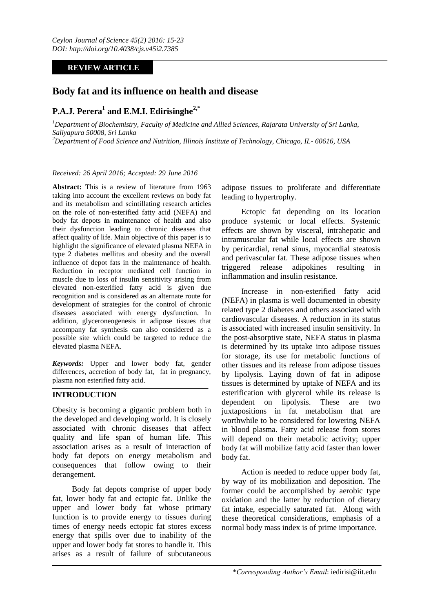## **REVIEW ARTICLE**

# **Body fat and its influence on health and disease**

# **P.A.J. Perera<sup>1</sup> and E.M.I. Edirisinghe2,\***

*<sup>1</sup>Department of Biochemistry, Faculty of Medicine and Allied Sciences, Rajarata University of Sri Lanka, Saliyapura 50008, Sri Lanka <sup>2</sup>Department of Food Science and Nutrition, Illinois Institute of Technology, Chicago, IL- 60616, USA*

#### *Received: 26 April 2016; Accepted: 29 June 2016*

**Abstract:** This is a review of literature from 1963 taking into account the excellent reviews on body fat and its metabolism and scintillating research articles on the role of non-esterified fatty acid (NEFA) and body fat depots in maintenance of health and also their dysfunction leading to chronic diseases that affect quality of life. Main objective of this paper is to highlight the significance of elevated plasma NEFA in type 2 diabetes mellitus and obesity and the overall influence of depot fats in the maintenance of health. Reduction in receptor mediated cell function in muscle due to loss of insulin sensitivity arising from elevated non-esterified fatty acid is given due recognition and is considered as an alternate route for development of strategies for the control of chronic diseases associated with energy dysfunction. In addition, glyceroneogenesis in adipose tissues that accompany fat synthesis can also considered as a possible site which could be targeted to reduce the elevated plasma NEFA.

*Keywords:* Upper and lower body fat, gender differences, accretion of body fat, fat in pregnancy, plasma non esterified fatty acid.

## **INTRODUCTION**

Obesity is becoming a gigantic problem both in the developed and developing world. It is closely associated with chronic diseases that affect quality and life span of human life. This association arises as a result of interaction of body fat depots on energy metabolism and consequences that follow owing to their derangement.

Body fat depots comprise of upper body fat, lower body fat and ectopic fat. Unlike the upper and lower body fat whose primary function is to provide energy to tissues during times of energy needs ectopic fat stores excess energy that spills over due to inability of the upper and lower body fat stores to handle it. This arises as a result of failure of subcutaneous

adipose tissues to proliferate and differentiate leading to hypertrophy.

Ectopic fat depending on its location produce systemic or local effects. Systemic effects are shown by visceral, intrahepatic and intramuscular fat while local effects are shown by pericardial, renal sinus, myocardial steatosis and perivascular fat. These adipose tissues when triggered release adipokines resulting in inflammation and insulin resistance.

Increase in non-esterified fatty acid (NEFA) in plasma is well documented in obesity related type 2 diabetes and others associated with cardiovascular diseases. A reduction in its status is associated with increased insulin sensitivity. In the post-absorptive state, NEFA status in plasma is determined by its uptake into adipose tissues for storage, its use for metabolic functions of other tissues and its release from adipose tissues by lipolysis. Laying down of fat in adipose tissues is determined by uptake of NEFA and its esterification with glycerol while its release is dependent on lipolysis. These are two juxtapositions in fat metabolism that are worthwhile to be considered for lowering NEFA in blood plasma. Fatty acid release from stores will depend on their metabolic activity; upper body fat will mobilize fatty acid faster than lower body fat.

Action is needed to reduce upper body fat, by way of its mobilization and deposition. The former could be accomplished by aerobic type oxidation and the latter by reduction of dietary fat intake, especially saturated fat. Along with these theoretical considerations, emphasis of a normal body mass index is of prime importance.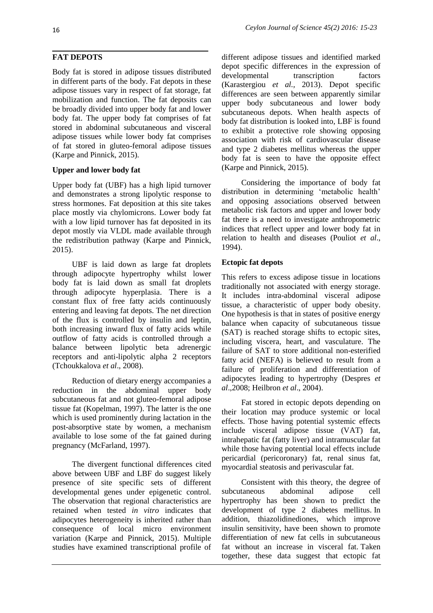Body fat is stored in adipose tissues distributed in different parts of the body. Fat depots in these adipose tissues vary in respect of fat storage, fat mobilization and function. The fat deposits can be broadly divided into upper body fat and lower body fat. The upper body fat comprises of fat stored in abdominal subcutaneous and visceral adipose tissues while lower body fat comprises of fat stored in gluteo-femoral adipose tissues (Karpe and Pinnick, 2015).

## **Upper and lower body fat**

Upper body fat (UBF) has a high lipid turnover and demonstrates a strong lipolytic response to stress hormones. Fat deposition at this site takes place mostly via chylomicrons. Lower body fat with a low lipid turnover has fat deposited in its depot mostly via VLDL made available through the redistribution pathway (Karpe and Pinnick, 2015).

UBF is laid down as large fat droplets through adipocyte hypertrophy whilst lower body fat is laid down as small fat droplets through adipocyte hyperplasia. There is a constant flux of free fatty acids continuously entering and leaving fat depots. The net direction of the flux is controlled by insulin and leptin, both increasing inward flux of fatty acids while outflow of fatty acids is controlled through a balance between lipolytic beta adrenergic receptors and anti-lipolytic alpha 2 receptors (Tchoukkalova *et al*., 2008).

Reduction of dietary energy accompanies a reduction in the abdominal upper body subcutaneous fat and not gluteo-femoral adipose tissue fat (Kopelman, 1997). The latter is the one which is used prominently during lactation in the post-absorptive state by women, a mechanism available to lose some of the fat gained during pregnancy (McFarland, 1997).

The divergent functional differences cited above between UBF and LBF do suggest likely presence of site specific sets of different developmental genes under epigenetic control. The observation that regional characteristics are retained when tested *in vitro* indicates that adipocytes heterogeneity is inherited rather than consequence of local micro environment variation (Karpe and Pinnick, 2015). Multiple studies have examined transcriptional profile of

different adipose tissues and identified marked depot specific differences in the expression of developmental transcription factors (Karastergiou *et al.,* 2013). Depot specific differences are seen between apparently similar upper body subcutaneous and lower body subcutaneous depots. When health aspects of body fat distribution is looked into, LBF is found to exhibit a protective role showing opposing association with risk of cardiovascular disease and type 2 diabetes mellitus whereas the upper body fat is seen to have the opposite effect (Karpe and Pinnick, 2015).

Considering the importance of body fat distribution in determining "metabolic health" and opposing associations observed between metabolic risk factors and upper and lower body fat there is a need to investigate anthropometric indices that reflect upper and lower body fat in relation to health and diseases (Pouliot *et al*., 1994).

## **Ectopic fat depots**

This refers to excess adipose tissue in locations traditionally not associated with energy storage. It includes intra-abdominal visceral adipose tissue, a characteristic of upper body obesity. One hypothesis is that in states of positive energy balance when capacity of subcutaneous tissue (SAT) is reached storage shifts to ectopic sites, including viscera, heart, and vasculature. The failure of SAT to store additional non-esterified fatty acid (NEFA) is believed to result from a failure of proliferation and differentiation of adipocytes leading to hypertrophy (Despres *et al*.,2008; Heilbron *et al*., 2004).

Fat stored in ectopic depots depending on their location may produce systemic or local effects. Those having potential systemic effects include visceral adipose tissue (VAT) fat, intrahepatic fat (fatty liver) and intramuscular fat while those having potential local effects include pericardial (pericoronary) fat, renal sinus fat, myocardial steatosis and perivascular fat.

Consistent with this theory, the degree of subcutaneous abdominal adipose cell hypertrophy has been shown to predict the development of type 2 diabetes mellitus. In addition, thiazolidinediones, which improve insulin sensitivity, have been shown to promote differentiation of new fat cells in subcutaneous fat without an increase in visceral fat. Taken together, these data suggest that ectopic fat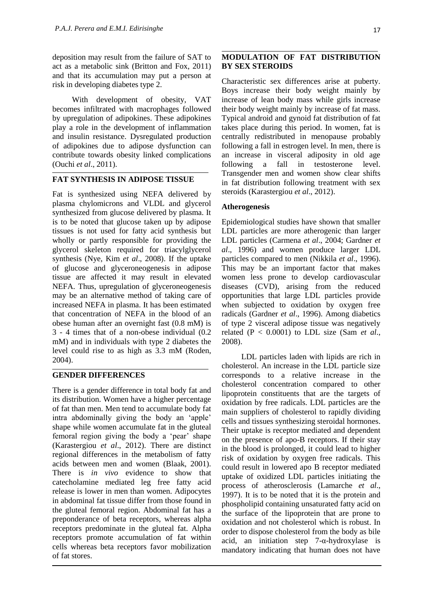deposition may result from the failure of SAT to act as a metabolic sink (Britton and Fox, 2011) and that its accumulation may put a person at risk in developing diabetes type 2.

With development of obesity, VAT becomes infiltrated with macrophages followed by upregulation of adipokines. These adipokines play a role in the development of inflammation and insulin resistance. Dysregulated production of adipokines due to adipose dysfunction can contribute towards obesity linked complications (Ouchi *et al*., 2011).

### **FAT SYNTHESIS IN ADIPOSE TISSUE**

Fat is synthesized using NEFA delivered by plasma chylomicrons and VLDL and glycerol synthesized from glucose delivered by plasma. It is to be noted that glucose taken up by adipose tissues is not used for fatty acid synthesis but wholly or partly responsible for providing the glycerol skeleton required for triacylglycerol synthesis (Nye, Kim *et al*., 2008). If the uptake of glucose and glyceroneogenesis in adipose tissue are affected it may result in elevated NEFA. Thus, upregulation of glyceroneogenesis may be an alternative method of taking care of increased NEFA in plasma. It has been estimated that concentration of NEFA in the blood of an obese human after an overnight fast (0.8 mM) is 3 - 4 times that of a non-obese individual (0.2 mM) and in individuals with type 2 diabetes the level could rise to as high as 3.3 mM (Roden, 2004).

#### **GENDER DIFFERENCES**

There is a gender difference in total body fat and its distribution. Women have a higher percentage of fat than men. Men tend to accumulate body fat intra abdominally giving the body an "apple" shape while women accumulate fat in the gluteal femoral region giving the body a "pear" shape (Karastergiou *et al*., 2012). There are distinct regional differences in the metabolism of fatty acids between men and women (Blaak, 2001). There is *in vivo* evidence to show that catecholamine mediated leg free fatty acid release is lower in men than women. Adipocytes in abdominal fat tissue differ from those found in the gluteal femoral region. Abdominal fat has a preponderance of beta receptors, whereas alpha receptors predominate in the gluteal fat. Alpha receptors promote accumulation of fat within cells whereas beta receptors favor mobilization of fat stores.

#### **MODULATION OF FAT DISTRIBUTION BY SEX STEROIDS**

Characteristic sex differences arise at puberty. Boys increase their body weight mainly by increase of lean body mass while girls increase their body weight mainly by increase of fat mass. Typical android and gynoid fat distribution of fat takes place during this period. In women, fat is centrally redistributed in menopause probably following a fall in estrogen level. In men, there is an increase in visceral adiposity in old age following a fall in testosterone level. Transgender men and women show clear shifts in fat distribution following treatment with sex steroids (Karastergiou *et al*., 2012).

#### **Atherogenesis**

Epidemiological studies have shown that smaller LDL particles are more atherogenic than larger LDL particles (Carmena *et al*., 2004; Gardner *et al*., 1996) and women produce larger LDL particles compared to men (Nikkila *et al*., 1996). This may be an important factor that makes women less prone to develop cardiovascular diseases (CVD), arising from the reduced opportunities that large LDL particles provide when subjected to oxidation by oxygen free radicals (Gardner *et al*., 1996). Among diabetics of type 2 visceral adipose tissue was negatively related (P < 0.0001) to LDL size (Sam *et al*., 2008).

LDL particles laden with lipids are rich in cholesterol. An increase in the LDL particle size corresponds to a relative increase in the cholesterol concentration compared to other lipoprotein constituents that are the targets of oxidation by free radicals. LDL particles are the main suppliers of cholesterol to rapidly dividing cells and tissues synthesizing steroidal hormones. Their uptake is receptor mediated and dependent on the presence of apo-B receptors. If their stay in the blood is prolonged, it could lead to higher risk of oxidation by oxygen free radicals. This could result in lowered apo B receptor mediated uptake of oxidized LDL particles initiating the process of atherosclerosis (Lamarche *et al*., 1997). It is to be noted that it is the protein and phospholipid containing unsaturated fatty acid on the surface of the lipoprotein that are prone to oxidation and not cholesterol which is robust. In order to dispose cholesterol from the body as bile acid, an initiation step  $7-\alpha$ -hydroxylase is mandatory indicating that human does not have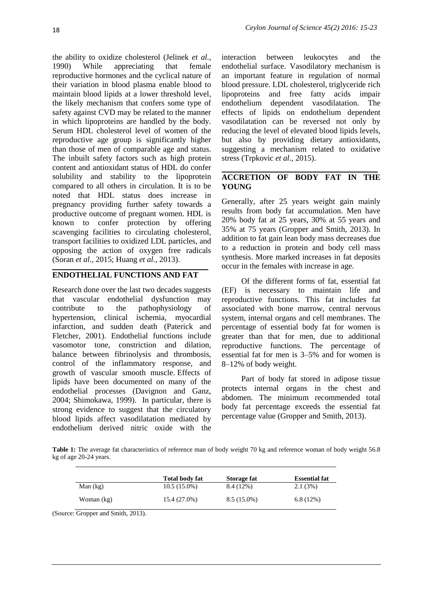the ability to oxidize cholesterol (Jelinek *et al.,* 1990) While appreciating that female reproductive hormones and the cyclical nature of their variation in blood plasma enable blood to maintain blood lipids at a lower threshold level, the likely mechanism that confers some type of safety against CVD may be related to the manner in which lipoproteins are handled by the body. Serum HDL cholesterol level of women of the reproductive age group is significantly higher than those of men of comparable age and status. The inbuilt safety factors such as high protein content and antioxidant status of HDL do confer solubility and stability to the lipoprotein compared to all others in circulation. It is to be noted that HDL status does increase in pregnancy providing further safety towards a productive outcome of pregnant women. HDL is known to confer protection by offering scavenging facilities to circulating cholesterol, transport facilities to oxidized LDL particles, and opposing the action of oxygen free radicals (Soran *et al.,* 2015; Huang *et al.,* 2013).

## **ENDOTHELIAL FUNCTIONS AND FAT**

Research done over the last two decades suggests that vascular endothelial dysfunction may contribute to the pathophysiology of hypertension, clinical ischemia, myocardial infarction, and sudden death (Paterick and Fletcher, 2001). Endothelial functions include vasomotor tone, constriction and dilation, balance between fibrinolysis and thrombosis, control of the inflammatory response, and growth of vascular smooth muscle. Effects of lipids have been documented on many of the endothelial processes (Davignon and Ganz, 2004; Shimokawa, 1999). In particular, there is strong evidence to suggest that the circulatory blood lipids affect vasodilatation mediated by endothelium derived nitric oxide with the

interaction between leukocytes and the endothelial surface. Vasodilatory mechanism is an important feature in regulation of normal blood pressure. LDL cholesterol, triglyceride rich lipoproteins and free fatty acids impair endothelium dependent vasodilatation. The effects of lipids on endothelium dependent vasodilatation can be reversed not only by reducing the level of elevated blood lipids levels, but also by providing dietary antioxidants, suggesting a mechanism related to oxidative stress (Trpkovic *et al*., 2015).

## **ACCRETION OF BODY FAT IN THE YOUNG**

Generally, after 25 years weight gain mainly results from body fat accumulation. Men have 20% body fat at 25 years, 30% at 55 years and 35% at 75 years (Gropper and Smith, 2013). In addition to fat gain lean body mass decreases due to a reduction in protein and body cell mass synthesis. More marked increases in fat deposits occur in the females with increase in age.

Of the different forms of fat, essential fat (EF) is necessary to maintain life and reproductive functions. This fat includes fat associated with bone marrow, central nervous system, internal organs and cell membranes. The percentage of essential body fat for women is greater than that for men, due to additional reproductive functions. The percentage of essential fat for men is 3–5% and for women is 8–12% of body weight.

Part of body fat stored in adipose tissue protects internal organs in the chest and abdomen. The minimum recommended total body fat percentage exceeds the essential fat percentage value (Gropper and Smith, 2013).

Table 1: The average fat characteristics of reference man of body weight 70 kg and reference woman of body weight 56.8 kg of age 20-24 years.

|            | <b>Total body fat</b> | Storage fat   | <b>Essential fat</b> |
|------------|-----------------------|---------------|----------------------|
| Man $(kg)$ | $10.5(15.0\%)$        | 8.4 (12%)     | 2.1(3%)              |
| Woman (kg) | 15.4 (27.0%)          | $8.5(15.0\%)$ | 6.8(12%)             |

(Source: Gropper and Smith, 2013).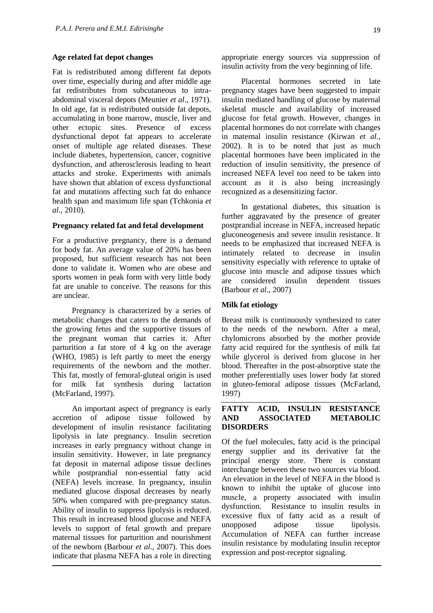#### **Age related fat depot changes**

Fat is redistributed among different fat depots over time, especially during and after middle age fat redistributes from subcutaneous to intraabdominal visceral depots (Meunier *et al*., 1971). In old age, fat is redistributed outside fat depots, accumulating in bone marrow, muscle, liver and other ectopic sites. Presence of excess dysfunctional depot fat appears to accelerate onset of multiple age related diseases. These include diabetes, hypertension, cancer, cognitive dysfunction, and atherosclerosis leading to heart attacks and stroke. Experiments with animals have shown that ablation of excess dysfunctional fat and mutations affecting such fat do enhance health span and maximum life span (Tchkonia *et al*., 2010).

#### **Pregnancy related fat and fetal development**

For a productive pregnancy, there is a demand for body fat. An average value of 20% has been proposed, but sufficient research has not been done to validate it. Women who are obese and sports women in peak form with very little body fat are unable to conceive. The reasons for this are unclear.

Pregnancy is characterized by a series of metabolic changes that caters to the demands of the growing fetus and the supportive tissues of the pregnant woman that carries it. After parturition a fat store of 4 kg on the average (WHO, 1985) is left partly to meet the energy requirements of the newborn and the mother. This fat, mostly of femoral-gluteal origin is used for milk fat synthesis during lactation (McFarland, 1997).

An important aspect of pregnancy is early accretion of adipose tissue followed by development of insulin resistance facilitating lipolysis in late pregnancy. Insulin secretion increases in early pregnancy without change in insulin sensitivity. However, in late pregnancy fat deposit in maternal adipose tissue declines while postprandial non-essential fatty acid (NEFA) levels increase. In pregnancy, insulin mediated glucose disposal decreases by nearly 50% when compared with pre-pregnancy status. Ability of insulin to suppress lipolysis is reduced. This result in increased blood glucose and NEFA levels to support of fetal growth and prepare maternal tissues for parturition and nourishment of the newborn (Barbour *et al*., 2007). This does indicate that plasma NEFA has a role in directing

appropriate energy sources via suppression of insulin activity from the very beginning of life.

Placental hormones secreted in late pregnancy stages have been suggested to impair insulin mediated handling of glucose by maternal skeletal muscle and availability of increased glucose for fetal growth. However, changes in placental hormones do not correlate with changes in maternal insulin resistance (Kirwan *et al*., 2002). It is to be noted that just as much placental hormones have been implicated in the reduction of insulin sensitivity, the presence of increased NEFA level too need to be taken into account as it is also being increasingly recognized as a desensitizing factor.

In gestational diabetes, this situation is further aggravated by the presence of greater postprandial increase in NEFA, increased hepatic gluconeogenesis and severe insulin resistance. It needs to be emphasized that increased NEFA is intimately related to decrease in insulin sensitivity especially with reference to uptake of glucose into muscle and adipose tissues which are considered insulin dependent tissues (Barbour *et al*., 2007)

#### **Milk fat etiology**

Breast milk is continuously synthesized to cater to the needs of the newborn. After a meal, chylomicrons absorbed by the mother provide fatty acid required for the synthesis of milk fat while glycerol is derived from glucose in her blood. Thereafter in the post-absorptive state the mother preferentially uses lower body fat stored in gluteo-femoral adipose tissues (McFarland, 1997)

### **FATTY ACID, INSULIN RESISTANCE AND ASSOCIATED METABOLIC DISORDERS**

Of the fuel molecules, fatty acid is the principal energy supplier and its derivative fat the principal energy store. There is constant interchange between these two sources via blood. An elevation in the level of NEFA in the blood is known to inhibit the uptake of glucose into muscle, a property associated with insulin dysfunction. Resistance to insulin results in excessive flux of fatty acid as a result of unopposed adipose tissue lipolysis. Accumulation of NEFA can further increase insulin resistance by modulating insulin receptor expression and post-receptor signaling.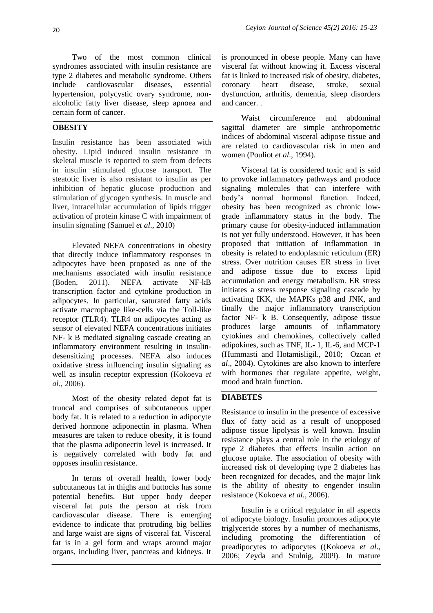Two of the most common clinical syndromes associated with insulin resistance are type 2 diabetes and metabolic syndrome. Others include cardiovascular diseases, essential hypertension, polycystic ovary syndrome, nonalcoholic fatty liver disease, sleep apnoea and certain form of cancer.

## **OBESITY**

Insulin resistance has been associated with obesity. Lipid induced insulin resistance in skeletal muscle is reported to stem from defects in insulin stimulated glucose transport. The steatotic liver is also resistant to insulin as per inhibition of hepatic glucose production and stimulation of glycogen synthesis. In muscle and liver, intracellular accumulation of lipids trigger activation of protein kinase C with impairment of insulin signaling (Samuel *et al*., 2010)

Elevated NEFA concentrations in obesity that directly induce inflammatory responses in adipocytes have been proposed as one of the mechanisms associated with insulin resistance (Boden, 2011). NEFA activate NF-kB transcription factor and cytokine production in adipocytes. In particular, saturated fatty acids activate macrophage like-cells via the Toll-like receptor (TLR4). TLR4 on adipocytes acting as sensor of elevated NEFA concentrations initiates NF- k B mediated signaling cascade creating an inflammatory environment resulting in insulindesensitizing processes. NEFA also induces oxidative stress influencing insulin signaling as well as insulin receptor expression (Kokoeva *et al.,* 2006).

Most of the obesity related depot fat is truncal and comprises of subcutaneous upper body fat. It is related to a reduction in adipocyte derived hormone adiponectin in plasma. When measures are taken to reduce obesity, it is found that the plasma adiponectin level is increased. It is negatively correlated with body fat and opposes insulin resistance.

In terms of overall health, lower body subcutaneous fat in thighs and buttocks has some potential benefits. But upper body deeper visceral fat puts the person at risk from cardiovascular disease. There is emerging evidence to indicate that protruding big bellies and large waist are signs of visceral fat. Visceral fat is in a gel form and wraps around major organs, including liver, pancreas and kidneys. It

is pronounced in obese people. Many can have visceral fat without knowing it. Excess visceral fat is linked to increased risk of obesity, diabetes, coronary heart disease, stroke, sexual dysfunction, arthritis, dementia, sleep disorders and cancer. .

Waist circumference and abdominal sagittal diameter are simple anthropometric indices of abdominal visceral adipose tissue and are related to cardiovascular risk in men and women (Pouliot *et al*., 1994).

Visceral fat is considered toxic and is said to provoke inflammatory pathways and produce signaling molecules that can interfere with body"s normal hormonal function. Indeed, obesity has been recognized as chronic lowgrade inflammatory status in the body. The primary cause for obesity-induced inflammation is not yet fully understood. However, it has been proposed that initiation of inflammation in obesity is related to endoplasmic reticulum (ER) stress. Over nutrition causes ER stress in liver and adipose tissue due to excess lipid accumulation and energy metabolism. ER stress initiates a stress response signaling cascade by activating IKK, the MAPKs p38 and JNK, and finally the major inflammatory transcription factor NF- k B. Consequently, adipose tissue produces large amounts of inflammatory cytokines and chemokines, collectively called adipokines, such as TNF, IL- 1, IL-6, and MCP-1 (Hummasti and Hotamisligil., 2010; Ozcan *et al*., 2004). Cytokines are also known to interfere with hormones that regulate appetite, weight, mood and brain function.

## **DIABETES**

Resistance to insulin in the presence of excessive flux of fatty acid as a result of unopposed adipose tissue lipolysis is well known. Insulin resistance plays a central role in the etiology of type 2 diabetes that effects insulin action on glucose uptake. The association of obesity with increased risk of developing type 2 diabetes has been recognized for decades, and the major link is the ability of obesity to engender insulin resistance (Kokoeva *et al.,* 2006).

Insulin is a critical regulator in all aspects of adipocyte biology. Insulin promotes adipocyte triglyceride stores by a number of mechanisms, including promoting the differentiation of preadipocytes to adipocytes ((Kokoeva *et al*., 2006; Zeyda and Stulnig, 2009). In mature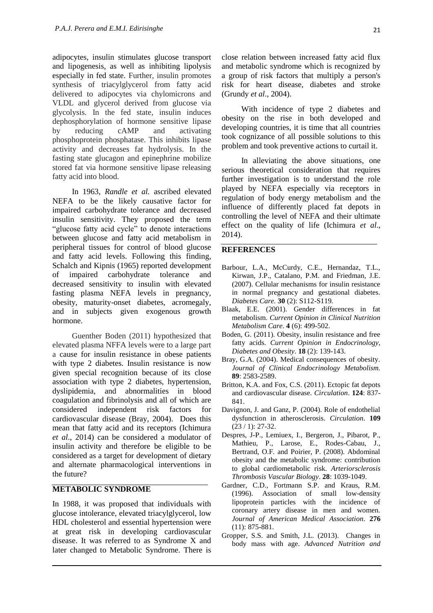adipocytes, insulin stimulates glucose transport and lipogenesis, as well as inhibiting lipolysis especially in fed state. Further, insulin promotes synthesis of triacylglycerol from fatty acid delivered to adipocytes via chylomicrons and VLDL and glycerol derived from glucose via glycolysis. In the fed state, insulin induces dephosphorylation of hormone sensitive lipase by reducing cAMP and activating phosphoprotein phosphatase. This inhibits lipase activity and decreases fat hydrolysis. In the fasting state glucagon and epinephrine mobilize stored fat via hormone sensitive lipase releasing fatty acid into blood.

In 1963, *Randle et al.* ascribed elevated NEFA to be the likely causative factor for impaired carbohydrate tolerance and decreased insulin sensitivity. They proposed the term "glucose fatty acid cycle" to denote interactions between glucose and fatty acid metabolism in peripheral tissues for control of blood glucose and fatty acid levels. Following this finding, Schalch and Kipnis (1965) reported development of impaired carbohydrate tolerance and decreased sensitivity to insulin with elevated fasting plasma NEFA levels in pregnancy, obesity, maturity-onset diabetes, acromegaly, and in subjects given exogenous growth hormone.

Guenther Boden (2011) hypothesized that elevated plasma NFFA levels were to a large part a cause for insulin resistance in obese patients with type 2 diabetes. Insulin resistance is now given special recognition because of its close association with type 2 diabetes, hypertension, dyslipidemia, and abnormalities in blood coagulation and fibrinolysis and all of which are considered independent risk factors for cardiovascular disease (Bray, 2004). Does this mean that fatty acid and its receptors (Ichimura *et al*., 2014) can be considered a modulator of insulin activity and therefore be eligible to be considered as a target for development of dietary and alternate pharmacological interventions in the future?

### **METABOLIC SYNDROME**

In 1988, it was proposed that individuals with glucose intolerance, elevated triacylglycerol, low HDL cholesterol and essential hypertension were at great risk in developing cardiovascular disease. It was referred to as Syndrome X and later changed to Metabolic Syndrome. There is

close relation between increased fatty acid flux and metabolic syndrome which is recognized by a group of risk factors that multiply a person's risk for heart disease, diabetes and stroke (Grundy *et al*., 2004).

With incidence of type 2 diabetes and obesity on the rise in both developed and developing countries, it is time that all countries took cognizance of all possible solutions to this problem and took preventive actions to curtail it.

In alleviating the above situations, one serious theoretical consideration that requires further investigation is to understand the role played by NEFA especially via receptors in regulation of body energy metabolism and the influence of differently placed fat depots in controlling the level of NEFA and their ultimate effect on the quality of life (Ichimura *et al*., 2014).

#### **REFERENCES**

- Barbour, L.A., McCurdy, C.E., Hernandaz, T.L., Kirwan, J.P., Catalano, P.M. and Friedman, J.E. (2007). Cellular mechanisms for insulin resistance in normal pregnancy and gestational diabetes. *Diabetes Care.* **30** (2): S112-S119.
- Blaak, E.E. (2001). Gender differences in fat metabolism. *Current Opinion in Clinical Nutrition Metabolism Care*. **4** (6): 499-502.
- Boden, G. (2011). Obesity, insulin resistance and free fatty acids. *Current Opinion in Endocrinology, Diabetes and Obesity*. **18** (2): 139-143.
- Bray, G.A. (2004). Medical consequences of obesity. *Journal of Clinical Endocrinology Metabolism.* **89**: 2583-2589.
- Britton, K.A. and Fox, C.S. (2011). Ectopic fat depots and cardiovascular disease. *Circulation*. **124**: 837- 841.
- Davignon, J. and Ganz, P. (2004). Role of endothelial dysfunction in atherosclerosis. *Circulation*. **109** (23 / 1): 27-32.
- Despres, J-P., Lemiuex, I., Bergeron, J., Pibarot, P., Mathieu, P., Larose, E., Rodes-Cabau, J., Bertrand, O.F. and Poirier, P. (2008). Abdominal obesity and the metabolic syndrome: contribution to global cardiometabolic risk. *Arteriorsclerosis Thrombosis Vascular Biology*. **28**: 1039-1049.
- Gardner, C.D., Fortmann S.P. and Kraus, R.M. (1996). Association of small low-density lipoprotein particles with the incidence of coronary artery disease in men and women. *Journal of American Medical Association*. **276** (11): 875-881.
- Gropper, S.S. and Smith, J.L. (2013). Changes in body mass with age. *Advanced Nutrition and*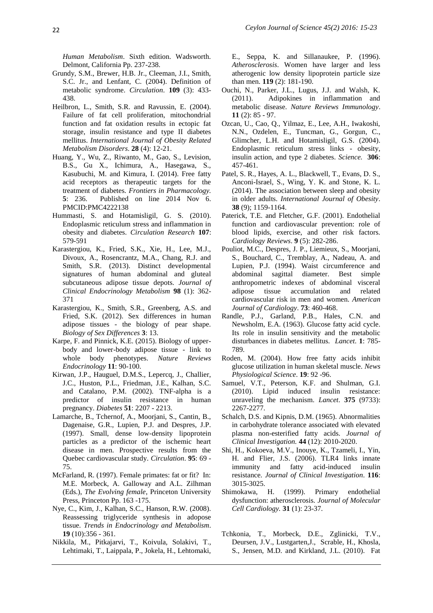*Human Metabolism*. Sixth edition. Wadsworth. Delmont, California Pp. 237-238.

- Grundy, S.M., Brewer, H.B. Jr., Cleeman, J.I., Smith, S.C. Jr., and Lenfant, C. (2004). Definition of metabolic syndrome. *Circulation*. **109** (3): 433- 438.
- Heilbron, L., Smith, S.R. and Ravussin, E. (2004). Failure of fat cell proliferation, mitochondrial function and fat oxidation results in ectopic fat storage, insulin resistance and type II diabetes mellitus. *International Journal of Obesity Related Metabolism Disorders*. **28** (4): 12-21.
- Huang, Y., Wu, Z., Riwanto, M., Gao, S., Levision, B.S., Gu X., Ichimura, A., Hasegawa, S., Kasubuchi, M. and Kimura, I. (2014). Free fatty acid receptors as therapeutic targets for the treatment of diabetes. *Frontiers in Pharmacology.* **5**: 236. Published on line 2014 Nov 6. PMCID:PMC4222138
- Hummasti, S. and Hotamisligil, G. S. (2010). Endoplasmic reticulum stress and inflammation in obesity and diabetes. *Circulation Research* **107**: 579-591
- Karastergiou, K., Fried, S.K., Xie, H., Lee, M.J., Divoux, A., Rosencrantz, M.A., Chang, R.J. and Smith, S.R. (2013). Distinct developmental signatures of human abdominal and gluteal subcutaneous adipose tissue depots. *Journal of Clinical Endocrinology Metabolism* **98** (1): 362- 371
- Karastergiou, K., Smith, S.R., Greenberg, A.S. and Fried, S.K. (2012). Sex differences in human adipose tissues - the biology of pear shape. *Biology of Sex Differences* **3**: 13.
- Karpe, F. and Pinnick, K.E. (2015). Biology of upperbody and lower-body adipose tissue - link to whole body phenotypes. *Nature Reviews Endocrinology* **11**: 90-100.
- Kirwan, J.P., Hauguel, D.M.S., Lepercq, J., Challier, J.C., Huston, P.L., Friedman, J.E., Kalhan, S.C. and Catalano, P.M. (2002). TNF-alpha is a predictor of insulin resistance in human pregnancy. *Diabetes* **51**: 2207 - 2213.
- Lamarche, B., Tchernof, A., Moorjani, S., Cantin, B., Dagenaise, G.R., Lupien, P.J. and Despres, J.P. (1997). Small, dense low-density lipoprotein particles as a predictor of the ischemic heart disease in men. Prospective results from the Quebec cardiovascular study. *Circulation*. **95**: 69 - 75.
- McFarland, R. (1997). Female primates: fat or fit? In: M.E. Morbeck, A. Galloway and A.L. Zilhman (Eds.), *The Evolving female*, Princeton University Press, Princeton Pp. 163 -175.
- Nye, C., Kim, J., Kalhan, S.C., Hanson, R.W. (2008). Reassessing triglyceride synthesis in adopose tissue. *Trends in Endocrinology and Metabolism*. **19** (10):356 - 361.
- Nikkila, M., Pitkajarvi, T., Koivula, Solakivi, T., Lehtimaki, T., Laippala, P., Jokela, H., Lehtomaki,

E., Seppa, K. and Sillanaukee, P. (1996). *Atherosclerosis*. Women have larger and less atherogenic low density lipoprotein particle size than men. **119** (2): 181-190.

- Ouchi, N., Parker, J.L., Lugus, J.J. and Walsh, K. (2011). Adipokines in inflammation and metabolic disease. *Nature Reviews Immunology*. **11** (2): 85 - 97.
- Ozcan, U., Cao, Q., Yilmaz, E., Lee, A.H., Iwakoshi, N.N., Ozdelen, E., Tuncman, G., Gorgun, C., Glimcher, L.H. and Hotamisligil, G.S. (2004). Endoplasmic reticulum stress links - obesity, insulin action, and type 2 diabetes. *Science.* **306**: 457-461.
- Patel, S. R., Hayes, A. L., Blackwell, T., Evans, D. S., Anconi-Israel, S., Wing, Y. K. and Stone, K. L. (2014). The association between sleep and obesity in older adults. *International Journal of Obesity*. **38** (9); 1159-1164.
- Paterick, T.E. and Fletcher, G.F. (2001). Endothelial function and cardiovascular prevention: role of blood lipids, exercise, and other risk factors. *Cardiology Reviews*. **9** (5): 282-286.
- Pouliot, M.C., Despres, J. P., Liemieux, S., Moorjani, S., Bouchard, C., Tremblay, A., Nadeau, A. and Lupien, P.J. (1994). Waist circumference and abdominal sagittal diameter. Best simple anthropometric indexes of abdominal visceral adipose tissue accumulation and related cardiovascular risk in men and women. *American Journal of Cardiology*. **73**: 460-468.
- Randle, P.J., Garland, P.B., Hales, C.N. and Newsholm, E.A. (1963). Glucose fatty acid cycle. Its role in insulin sensitivity and the metabolic disturbances in diabetes mellitus. *Lancet*. **1**: 785- 789.
- Roden, M. (2004). How free fatty acids inhibit glucose utilization in human skeletal muscle. *News Physiological Science*. **19**: 92 -96.
- Samuel, V.T., Peterson, K.F. and Shulman, G.I. (2010). Lipid induced insulin resistance: unraveling the mechanism. *Lancet*. **375** (9733): 2267-2277.
- Schalch, D.S. and Kipnis, D.M. (1965). Abnormalities in carbohydrate tolerance associated with elevated plasma non-esterified fatty acids. *Journal of Clinical Investigation.* **44** (12): 2010-2020.
- Shi, H., Kokoeva, M.V., Inouye, K., Tzameli, I., Yin, H. and Flier, J.S. (2006). TLR4 links innate immunity and fatty acid-induced insulin resistance. *Journal of Clinical Investigation*. **116**: 3015-3025.
- Shimokawa, H. (1999). Primary endothelial dysfunction: atherosclerosis. *Journal of Molecular Cell Cardiology.* **31** (1): 23-37.
- Tchkonia, T., Morbeck, D.E., Zglinicki, T.V., Deursen, J.V., Lustgarten,J., Scrable, H., Khosla, S., Jensen, M.D. and Kirkland, J.L. (2010). Fat